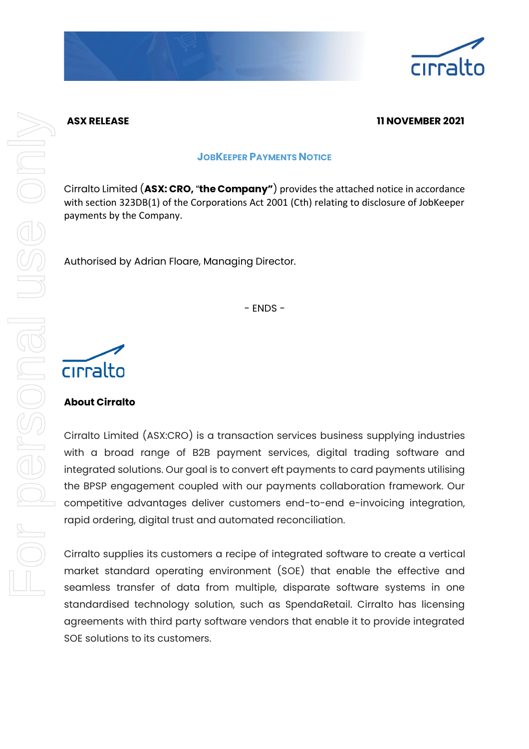

# **ASX RELEASE 11 NOVEMBER 2021**

#### **JOBKEEPER PAYMENTS NOTICE**

Cirralto Limited (**ASX: CRO,** "**the Company"**) provides the attached notice in accordance with section 323DB(1) of the Corporations Act 2001 (Cth) relating to disclosure of JobKeeper payments by the Company.

Authorised by Adrian Floare, Managing Director.

- ENDS -



# **About Cirralto**

Cirralto Limited (ASX:CRO) is a transaction services business supplying industries with a broad range of B2B payment services, digital trading software and integrated solutions. Our goal is to convert eft payments to card payments utilising the BPSP engagement coupled with our payments collaboration framework. Our competitive advantages deliver customers end-to-end e-invoicing integration, rapid ordering, digital trust and automated reconciliation.

Cirralto supplies its customers a recipe of integrated software to create a vertical market standard operating environment (SOE) that enable the effective and seamless transfer of data from multiple, disparate software systems in one standardised technology solution, such as SpendaRetail. Cirralto has licensing agreements with third party software vendors that enable it to provide integrated SOE solutions to its customers.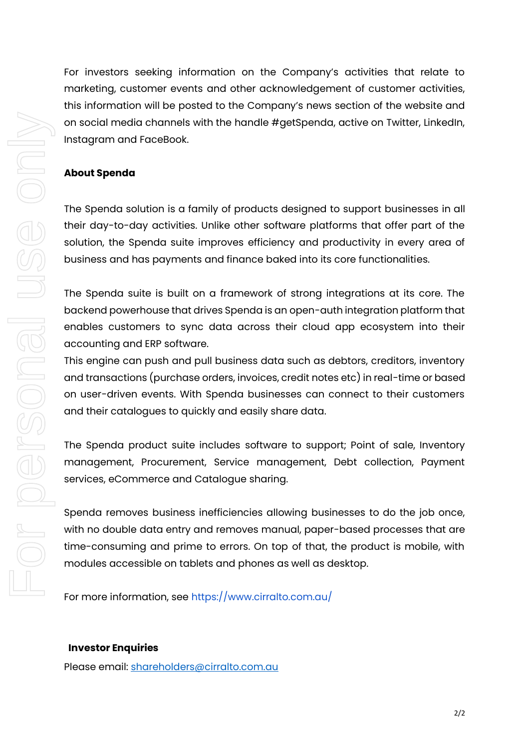For investors seeking information on the Company's activities that relate to marketing, customer events and other acknowledgement of customer activities, this information will be posted to the Company's news section of the website and on social media channels with the handle #getSpenda, active on Twitter, LinkedIn, Instagram and FaceBook.

### **About Spenda**

The Spenda solution is a family of products designed to support businesses in all their day-to-day activities. Unlike other software platforms that offer part of the solution, the Spenda suite improves efficiency and productivity in every area of business and has payments and finance baked into its core functionalities.

The Spenda suite is built on a framework of strong integrations at its core. The backend powerhouse that drives Spenda is an open-auth integration platform that enables customers to sync data across their cloud app ecosystem into their accounting and ERP software.

This engine can push and pull business data such as debtors, creditors, inventory and transactions (purchase orders, invoices, credit notes etc) in real-time or based on user-driven events. With Spenda businesses can connect to their customers and their catalogues to quickly and easily share data.

The Spenda product suite includes software to support; Point of sale, Inventory management, Procurement, Service management, Debt collection, Payment services, eCommerce and Catalogue sharing.

Spenda removes business inefficiencies allowing businesses to do the job once, with no double data entry and removes manual, paper-based processes that are time-consuming and prime to errors. On top of that, the product is mobile, with modules accessible on tablets and phones as well as desktop.

For more information, see<https://www.cirralto.com.au/>

#### **Investor Enquiries**

Please email: [shareholders@cirralto.com.au](mailto:shareholders@cirralto.com.au)